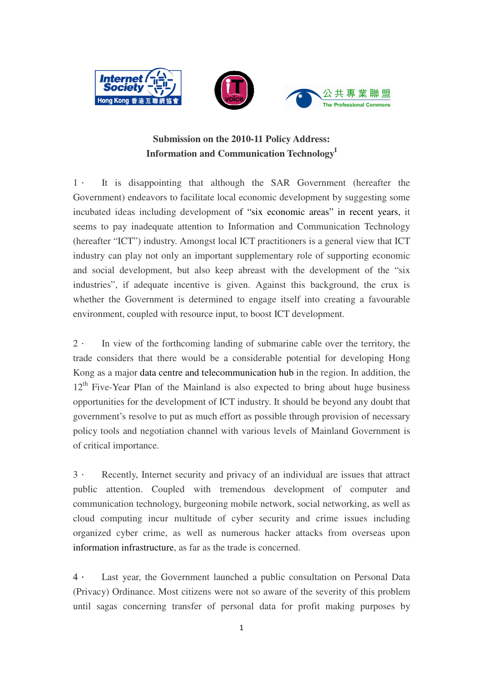





# **Submission on the 2010-11 Policy Address: Information and Communication Technology<sup>I</sup>**

1. It is disappointing that although the SAR Government (hereafter the Government) endeavors to facilitate local economic development by suggesting some incubated ideas including development of "six economic areas" in recent years, it seems to pay inadequate attention to Information and Communication Technology (hereafter "ICT") industry. Amongst local ICT practitioners is a general view that ICT industry can play not only an important supplementary role of supporting economic and social development, but also keep abreast with the development of the "six industries", if adequate incentive is given. Against this background, the crux is whether the Government is determined to engage itself into creating a favourable environment, coupled with resource input, to boost ICT development.

2. In view of the forthcoming landing of submarine cable over the territory, the trade considers that there would be a considerable potential for developing Hong Kong as a major data centre and telecommunication hub in the region. In addition, the  $12<sup>th</sup>$  Five-Year Plan of the Mainland is also expected to bring about huge business opportunities for the development of ICT industry. It should be beyond any doubt that government's resolve to put as much effort as possible through provision of necessary policy tools and negotiation channel with various levels of Mainland Government is of critical importance.

3. Recently, Internet security and privacy of an individual are issues that attract public attention. Coupled with tremendous development of computer and communication technology, burgeoning mobile network, social networking, as well as cloud computing incur multitude of cyber security and crime issues including organized cyber crime, as well as numerous hacker attacks from overseas upon information infrastructure, as far as the trade is concerned.

4. Last year, the Government launched a public consultation on Personal Data (Privacy) Ordinance. Most citizens were not so aware of the severity of this problem until sagas concerning transfer of personal data for profit making purposes by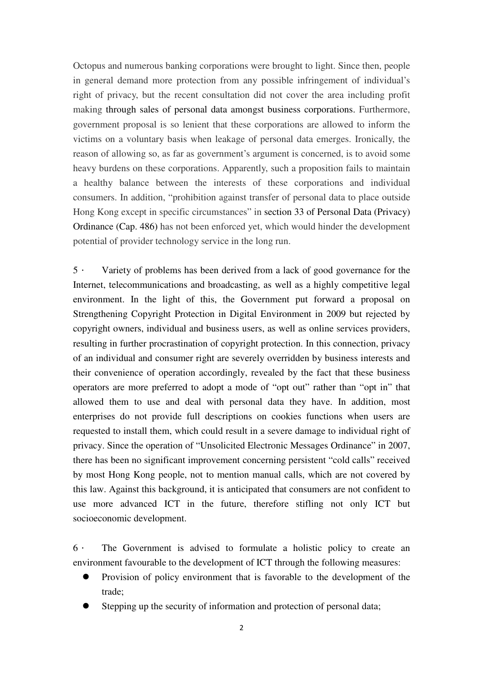Octopus and numerous banking corporations were brought to light. Since then, people in general demand more protection from any possible infringement of individual's right of privacy, but the recent consultation did not cover the area including profit making through sales of personal data amongst business corporations. Furthermore, government proposal is so lenient that these corporations are allowed to inform the victims on a voluntary basis when leakage of personal data emerges. Ironically, the reason of allowing so, as far as government's argument is concerned, is to avoid some heavy burdens on these corporations. Apparently, such a proposition fails to maintain a healthy balance between the interests of these corporations and individual consumers. In addition, "prohibition against transfer of personal data to place outside Hong Kong except in specific circumstances" in section 33 of Personal Data (Privacy) Ordinance (Cap. 486) has not been enforced yet, which would hinder the development potential of provider technology service in the long run.

5. Variety of problems has been derived from a lack of good governance for the Internet, telecommunications and broadcasting, as well as a highly competitive legal environment. In the light of this, the Government put forward a proposal on Strengthening Copyright Protection in Digital Environment in 2009 but rejected by copyright owners, individual and business users, as well as online services providers, resulting in further procrastination of copyright protection. In this connection, privacy of an individual and consumer right are severely overridden by business interests and their convenience of operation accordingly, revealed by the fact that these business operators are more preferred to adopt a mode of "opt out" rather than "opt in" that allowed them to use and deal with personal data they have. In addition, most enterprises do not provide full descriptions on cookies functions when users are requested to install them, which could result in a severe damage to individual right of privacy. Since the operation of "Unsolicited Electronic Messages Ordinance" in 2007, there has been no significant improvement concerning persistent "cold calls" received by most Hong Kong people, not to mention manual calls, which are not covered by this law. Against this background, it is anticipated that consumers are not confident to use more advanced ICT in the future, therefore stifling not only ICT but socioeconomic development.

6. The Government is advised to formulate a holistic policy to create an environment favourable to the development of ICT through the following measures:

- Provision of policy environment that is favorable to the development of the trade;
- Stepping up the security of information and protection of personal data;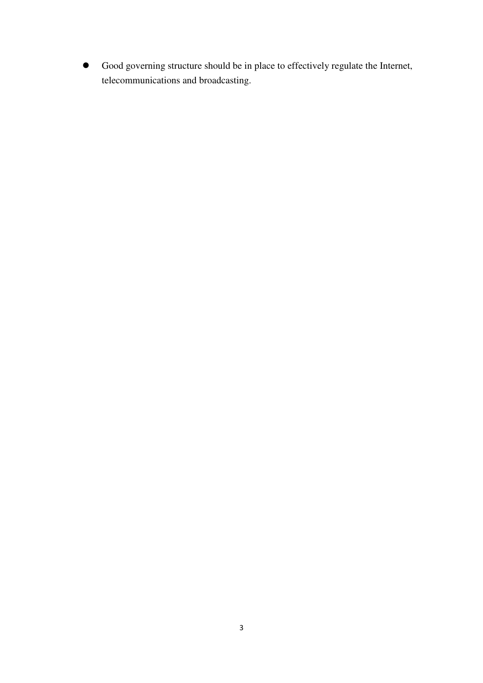Good governing structure should be in place to effectively regulate the Internet, telecommunications and broadcasting.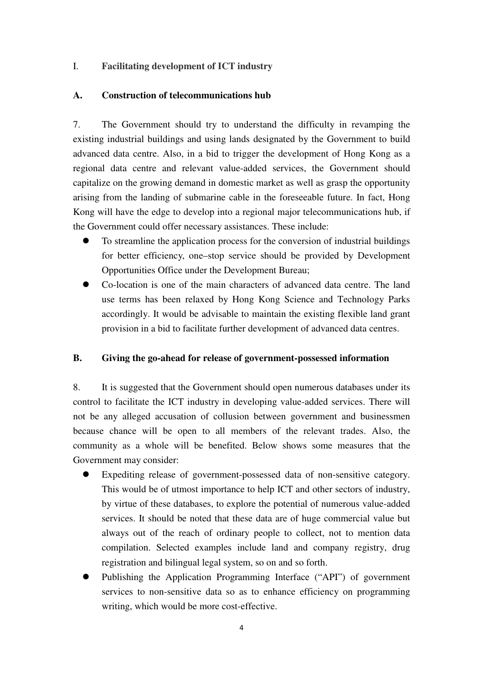### I. **Facilitating development of ICT industry**

#### **A. Construction of telecommunications hub**

7. The Government should try to understand the difficulty in revamping the existing industrial buildings and using lands designated by the Government to build advanced data centre. Also, in a bid to trigger the development of Hong Kong as a regional data centre and relevant value-added services, the Government should capitalize on the growing demand in domestic market as well as grasp the opportunity arising from the landing of submarine cable in the foreseeable future. In fact, Hong Kong will have the edge to develop into a regional major telecommunications hub, if the Government could offer necessary assistances. These include:

- To streamline the application process for the conversion of industrial buildings for better efficiency, one–stop service should be provided by Development Opportunities Office under the Development Bureau;
- Co-location is one of the main characters of advanced data centre. The land use terms has been relaxed by Hong Kong Science and Technology Parks accordingly. It would be advisable to maintain the existing flexible land grant provision in a bid to facilitate further development of advanced data centres.

#### **B. Giving the go-ahead for release of government-possessed information**

8. It is suggested that the Government should open numerous databases under its control to facilitate the ICT industry in developing value-added services. There will not be any alleged accusation of collusion between government and businessmen because chance will be open to all members of the relevant trades. Also, the community as a whole will be benefited. Below shows some measures that the Government may consider:

- Expediting release of government-possessed data of non-sensitive category. This would be of utmost importance to help ICT and other sectors of industry, by virtue of these databases, to explore the potential of numerous value-added services. It should be noted that these data are of huge commercial value but always out of the reach of ordinary people to collect, not to mention data compilation. Selected examples include land and company registry, drug registration and bilingual legal system, so on and so forth.
- Publishing the Application Programming Interface ("API") of government services to non-sensitive data so as to enhance efficiency on programming writing, which would be more cost-effective.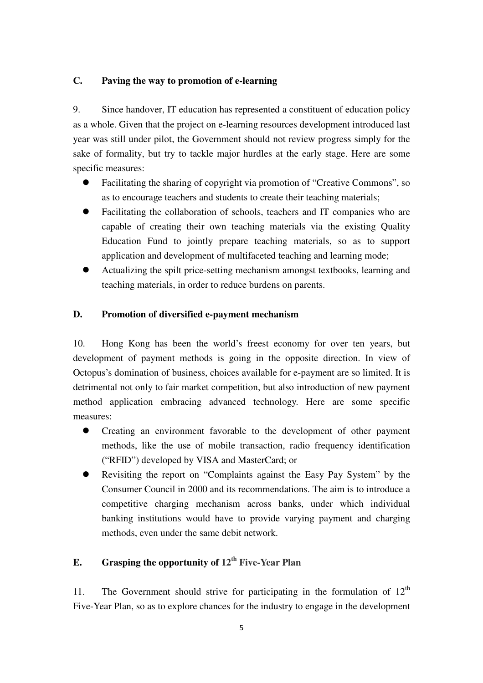### **C. Paving the way to promotion of e-learning**

9. Since handover, IT education has represented a constituent of education policy as a whole. Given that the project on e-learning resources development introduced last year was still under pilot, the Government should not review progress simply for the sake of formality, but try to tackle major hurdles at the early stage. Here are some specific measures:

- Facilitating the sharing of copyright via promotion of "Creative Commons", so as to encourage teachers and students to create their teaching materials;
- Facilitating the collaboration of schools, teachers and IT companies who are capable of creating their own teaching materials via the existing Quality Education Fund to jointly prepare teaching materials, so as to support application and development of multifaceted teaching and learning mode;
- Actualizing the spilt price-setting mechanism amongst textbooks, learning and teaching materials, in order to reduce burdens on parents.

### **D. Promotion of diversified e-payment mechanism**

10. Hong Kong has been the world's freest economy for over ten years, but development of payment methods is going in the opposite direction. In view of Octopus's domination of business, choices available for e-payment are so limited. It is detrimental not only to fair market competition, but also introduction of new payment method application embracing advanced technology. Here are some specific measures:

- Creating an environment favorable to the development of other payment methods, like the use of mobile transaction, radio frequency identification ("RFID") developed by VISA and MasterCard; or
- Revisiting the report on "Complaints against the Easy Pay System" by the Consumer Council in 2000 and its recommendations. The aim is to introduce a competitive charging mechanism across banks, under which individual banking institutions would have to provide varying payment and charging methods, even under the same debit network.

# **E. Grasping the opportunity of 12th Five-Year Plan**

11. The Government should strive for participating in the formulation of  $12<sup>th</sup>$ Five-Year Plan, so as to explore chances for the industry to engage in the development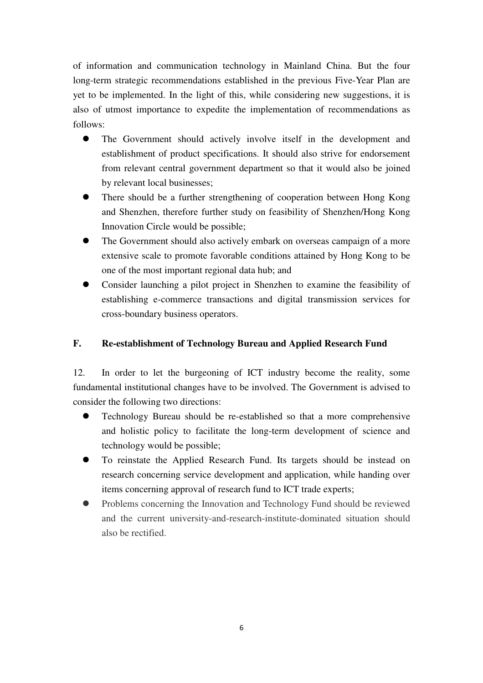of information and communication technology in Mainland China. But the four long-term strategic recommendations established in the previous Five-Year Plan are yet to be implemented. In the light of this, while considering new suggestions, it is also of utmost importance to expedite the implementation of recommendations as follows:

- The Government should actively involve itself in the development and establishment of product specifications. It should also strive for endorsement from relevant central government department so that it would also be joined by relevant local businesses;
- There should be a further strengthening of cooperation between Hong Kong and Shenzhen, therefore further study on feasibility of Shenzhen/Hong Kong Innovation Circle would be possible;
- The Government should also actively embark on overseas campaign of a more extensive scale to promote favorable conditions attained by Hong Kong to be one of the most important regional data hub; and
- Consider launching a pilot project in Shenzhen to examine the feasibility of establishing e-commerce transactions and digital transmission services for cross-boundary business operators.

## **F. Re-establishment of Technology Bureau and Applied Research Fund**

12. In order to let the burgeoning of ICT industry become the reality, some fundamental institutional changes have to be involved. The Government is advised to consider the following two directions:

- Technology Bureau should be re-established so that a more comprehensive and holistic policy to facilitate the long-term development of science and technology would be possible;
- To reinstate the Applied Research Fund. Its targets should be instead on research concerning service development and application, while handing over items concerning approval of research fund to ICT trade experts;
- Problems concerning the Innovation and Technology Fund should be reviewed and the current university-and-research-institute-dominated situation should also be rectified.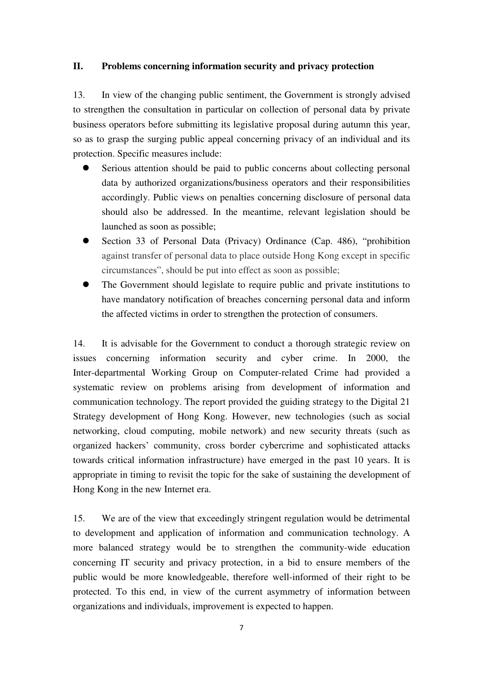### **II. Problems concerning information security and privacy protection**

13. In view of the changing public sentiment, the Government is strongly advised to strengthen the consultation in particular on collection of personal data by private business operators before submitting its legislative proposal during autumn this year, so as to grasp the surging public appeal concerning privacy of an individual and its protection. Specific measures include:

- Serious attention should be paid to public concerns about collecting personal data by authorized organizations/business operators and their responsibilities accordingly. Public views on penalties concerning disclosure of personal data should also be addressed. In the meantime, relevant legislation should be launched as soon as possible;
- Section 33 of Personal Data (Privacy) Ordinance (Cap. 486), "prohibition against transfer of personal data to place outside Hong Kong except in specific circumstances", should be put into effect as soon as possible;
- The Government should legislate to require public and private institutions to have mandatory notification of breaches concerning personal data and inform the affected victims in order to strengthen the protection of consumers.

14. It is advisable for the Government to conduct a thorough strategic review on issues concerning information security and cyber crime. In 2000, the Inter-departmental Working Group on Computer-related Crime had provided a systematic review on problems arising from development of information and communication technology. The report provided the guiding strategy to the Digital 21 Strategy development of Hong Kong. However, new technologies (such as social networking, cloud computing, mobile network) and new security threats (such as organized hackers' community, cross border cybercrime and sophisticated attacks towards critical information infrastructure) have emerged in the past 10 years. It is appropriate in timing to revisit the topic for the sake of sustaining the development of Hong Kong in the new Internet era.

15. We are of the view that exceedingly stringent regulation would be detrimental to development and application of information and communication technology. A more balanced strategy would be to strengthen the community-wide education concerning IT security and privacy protection, in a bid to ensure members of the public would be more knowledgeable, therefore well-informed of their right to be protected. To this end, in view of the current asymmetry of information between organizations and individuals, improvement is expected to happen.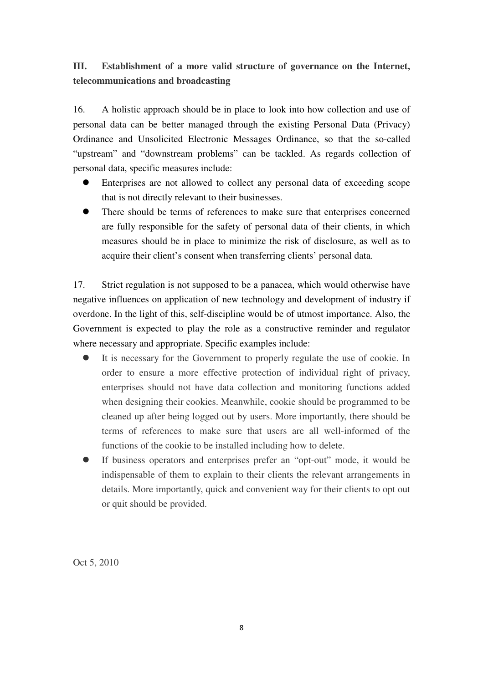# **III. Establishment of a more valid structure of governance on the Internet, telecommunications and broadcasting**

16. A holistic approach should be in place to look into how collection and use of personal data can be better managed through the existing Personal Data (Privacy) Ordinance and Unsolicited Electronic Messages Ordinance, so that the so-called "upstream" and "downstream problems" can be tackled. As regards collection of personal data, specific measures include:

- Enterprises are not allowed to collect any personal data of exceeding scope that is not directly relevant to their businesses.
- There should be terms of references to make sure that enterprises concerned are fully responsible for the safety of personal data of their clients, in which measures should be in place to minimize the risk of disclosure, as well as to acquire their client's consent when transferring clients' personal data.

17. Strict regulation is not supposed to be a panacea, which would otherwise have negative influences on application of new technology and development of industry if overdone. In the light of this, self-discipline would be of utmost importance. Also, the Government is expected to play the role as a constructive reminder and regulator where necessary and appropriate. Specific examples include:

- It is necessary for the Government to properly regulate the use of cookie. In order to ensure a more effective protection of individual right of privacy, enterprises should not have data collection and monitoring functions added when designing their cookies. Meanwhile, cookie should be programmed to be cleaned up after being logged out by users. More importantly, there should be terms of references to make sure that users are all well-informed of the functions of the cookie to be installed including how to delete.
- If business operators and enterprises prefer an "opt-out" mode, it would be indispensable of them to explain to their clients the relevant arrangements in details. More importantly, quick and convenient way for their clients to opt out or quit should be provided.

Oct 5, 2010